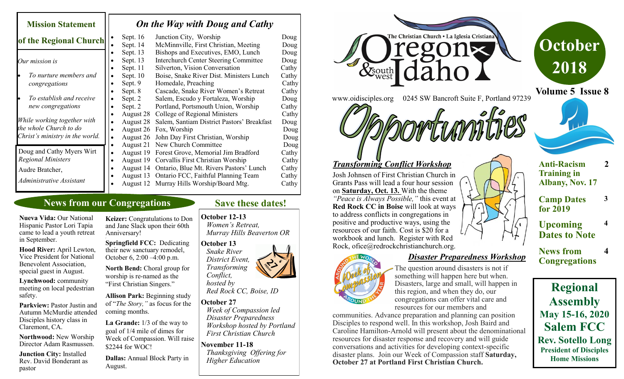| <b>Mission Statement</b>                               | On the Way with Doug and Cathy |                                     |                                                                                                                             |                         |
|--------------------------------------------------------|--------------------------------|-------------------------------------|-----------------------------------------------------------------------------------------------------------------------------|-------------------------|
| of the Regional Church                                 | $\bullet$                      | Sept. $16$<br>Sept. 14              | Junction City, Worship<br>McMinnville, First Christian, Meeting                                                             | Doug<br>Doug            |
| Our mission is                                         |                                | Sept. 13<br>Sept. 13<br>Sept. 11    | Bishops and Executives, EMO, Lunch<br><b>Interchurch Center Steering Committee</b><br>Silverton, Vision Conversation        | Doug<br>Doug<br>Cathy   |
| To nurture members and<br>congregations                | ٠                              | Sept. 10<br>Sept. 9<br>Sept. 8      | Boise, Snake River Dist. Ministers Lunch<br>Homedale, Preaching<br>Cascade, Snake River Women's Retreat                     | Cathy<br>Cathy<br>Cathy |
| To establish and receive<br>new congregations          | ٠                              | Sept. 2<br>Sept. 2                  | Salem, Escudo y Fortaleza, Worship<br>Portland, Portsmouth Union, Worship                                                   | Doug<br>Cathy           |
| While working together with<br>the whole Church to do  |                                | August 28<br>August 28<br>August 26 | College of Regional Ministers<br>Salem, Santiam District Pastors' Breakfast<br>Fox, Worship                                 | Cathy<br>Doug<br>Doug   |
| Christ's ministry in the world.                        |                                | August 26<br>August 21              | John Day First Christian, Worship<br>New Church Committee                                                                   | Doug<br>Doug            |
| Doug and Cathy Myers Wirt<br><b>Regional Ministers</b> |                                | August 19<br>August 19              | Forest Grove, Memorial Jim Bradford<br>Corvallis First Christian Worship                                                    | Cathy<br>Cathy          |
| Audre Bratcher,<br>Administrative Assistant            |                                | August 14<br>August 13              | Ontario, Blue Mt. Rivers Pastors' Lunch<br>Ontario FCC, Faithful Planning Team<br>August 12 Murray Hills Worship/Board Mtg. | Cathy<br>Cathy<br>Cathy |

# **News from our Congregations**

**Nueva Vida:** Our National Hispanic Pastor Lori Tapia came to lead a youth retreat in September.

**Hood River:** April Lewton, Vice President for National Benevolent Association, special guest in August.

**Lynchwood:** community meeting on local pedestrian safety.

Parkview: Pastor Justin and Autumn McMurdie attended Disciples history class in Claremont, CA.

**Northwood:** New Worship Director Adam Rasmussen.

**Junction City:** Installed Rev. David Bonderant as pastor

**Keizer:** Congratulations to Don and Jane Slack upon their 60th Anniversary!

/ **Springfield FCC:** Dedicating their new sanctuary remodel, October 6, 2:00 $-4:00$  p.m.

**North Bend:** Choral group for worship is re-named as the "First Christian Singers."

**Allison Park:** Beginning study of "*The Story,"* as focus for the coming months.

**La Grande:** 1/3 of the way to goal of 1/4 mile of dimes for Week of Compassion. Will raise \$2244 for WOC!

**Dallas:** Annual Block Party in August.

#### **Save these dates!**

#### **October 12-13**

 *Women's Retreat, Murray Hills Beaverton OR*

**October 13**  *Snake River District Event, Transforming Conflict,* 

 *hosted by Red Rock CC, Boise, ID*

#### **October 27**

*Week of Compassion led Disaster Preparedness Workshop hosted by Portland First Christian Church*

**November 11-18** *Thanksgiving Offering for Higher Education*

e Christian Church . La Iglesia Cristiana & South www.oidisciples.org 0245 SW Bancroft Suite F, Portland 97239





# *Transforming Conflict Workshop*

Josh Johnsen of First Christian Church in Grants Pass will lead a four hour session on **Saturday, Oct. 13.** With the theme *"Peace is Always Possible,"* this event at **Red Rock CC in Boise** will look at ways to address conflicts in congregations in positive and productive ways, using the resources of our faith. Cost is \$20 for a workbook and lunch. Register with Red Rock, ofice@redrockchristianchurch.org.



*Disaster Preparedness Workshop* 

The question around disasters is not if something will happen here but when. Disasters, large and small, will happen in this region, and when they do, our congregations can offer vital care and resources for our members and

communities. Advance preparation and planning can position Disciples to respond well. In this workshop, Josh Baird and Caroline Hamilton-Arnold will present about the denominational resources for disaster response and recovery and will guide conversations and activities for developing context-specific disaster plans. Join our Week of Compassion staff **Saturday, October 27 at Portland First Christian Church.**



- **Anti-Racism Training in Albany, Nov. 17**
- **Camp Dates for 2019**

**3**

**4**

- **Upcoming Dates to Note**
- **News from Congregations 4**

**Regional Assembly May 15-16, 2020 Salem FCC Rev. Sotello Long President of Disciples Home Missions**